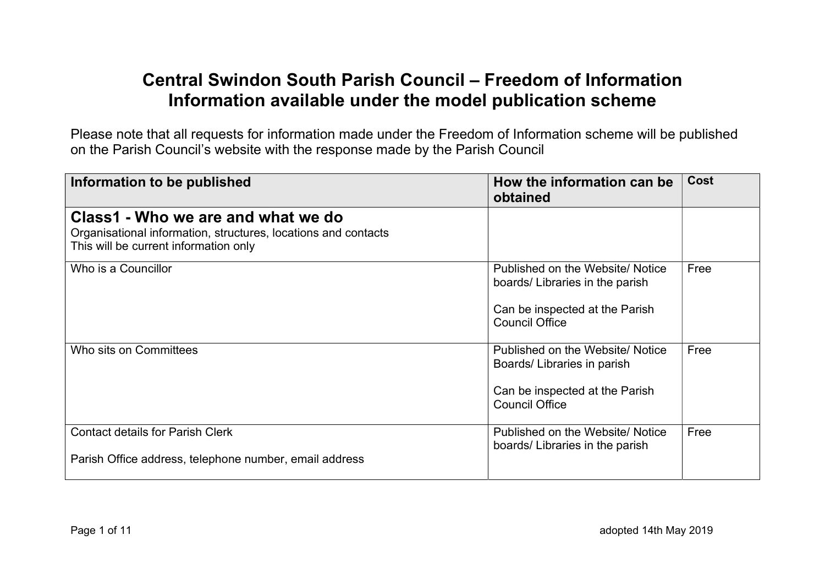## Central Swindon South Parish Council – Freedom of Information Information available under the model publication scheme

Please note that all requests for information made under the Freedom of Information scheme will be published on the Parish Council's website with the response made by the Parish Council

| Information to be published                                                                                                                   | How the information can be<br>obtained                                                                                        | <b>Cost</b> |
|-----------------------------------------------------------------------------------------------------------------------------------------------|-------------------------------------------------------------------------------------------------------------------------------|-------------|
| Class1 - Who we are and what we do<br>Organisational information, structures, locations and contacts<br>This will be current information only |                                                                                                                               |             |
| Who is a Councillor                                                                                                                           | Published on the Website/Notice<br>boards/ Libraries in the parish<br>Can be inspected at the Parish<br><b>Council Office</b> | Free        |
| Who sits on Committees                                                                                                                        | Published on the Website/Notice<br>Boards/ Libraries in parish<br>Can be inspected at the Parish<br><b>Council Office</b>     | Free        |
| <b>Contact details for Parish Clerk</b><br>Parish Office address, telephone number, email address                                             | Published on the Website/Notice<br>boards/ Libraries in the parish                                                            | Free        |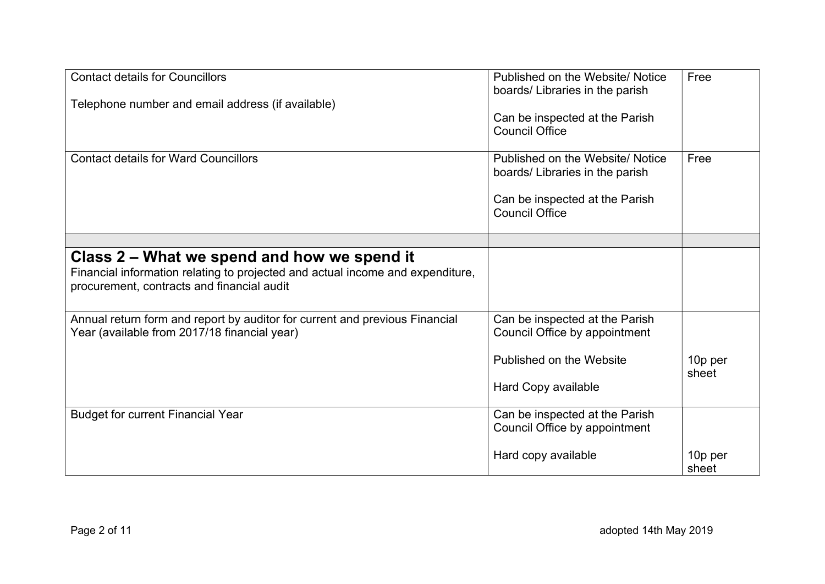| <b>Contact details for Councillors</b>                                         | Published on the Website/ Notice<br>boards/ Libraries in the parish | Free             |
|--------------------------------------------------------------------------------|---------------------------------------------------------------------|------------------|
| Telephone number and email address (if available)                              |                                                                     |                  |
|                                                                                | Can be inspected at the Parish                                      |                  |
|                                                                                | <b>Council Office</b>                                               |                  |
| <b>Contact details for Ward Councillors</b>                                    | Published on the Website/Notice                                     | Free             |
|                                                                                | boards/ Libraries in the parish                                     |                  |
|                                                                                | Can be inspected at the Parish                                      |                  |
|                                                                                | <b>Council Office</b>                                               |                  |
|                                                                                |                                                                     |                  |
| Class 2 – What we spend and how we spend it                                    |                                                                     |                  |
| Financial information relating to projected and actual income and expenditure, |                                                                     |                  |
| procurement, contracts and financial audit                                     |                                                                     |                  |
| Annual return form and report by auditor for current and previous Financial    | Can be inspected at the Parish                                      |                  |
| Year (available from 2017/18 financial year)                                   | Council Office by appointment                                       |                  |
|                                                                                |                                                                     |                  |
|                                                                                | Published on the Website                                            | 10p per<br>sheet |
|                                                                                | Hard Copy available                                                 |                  |
| <b>Budget for current Financial Year</b>                                       | Can be inspected at the Parish                                      |                  |
|                                                                                | Council Office by appointment                                       |                  |
|                                                                                | Hard copy available                                                 | 10p per          |
|                                                                                |                                                                     | sheet            |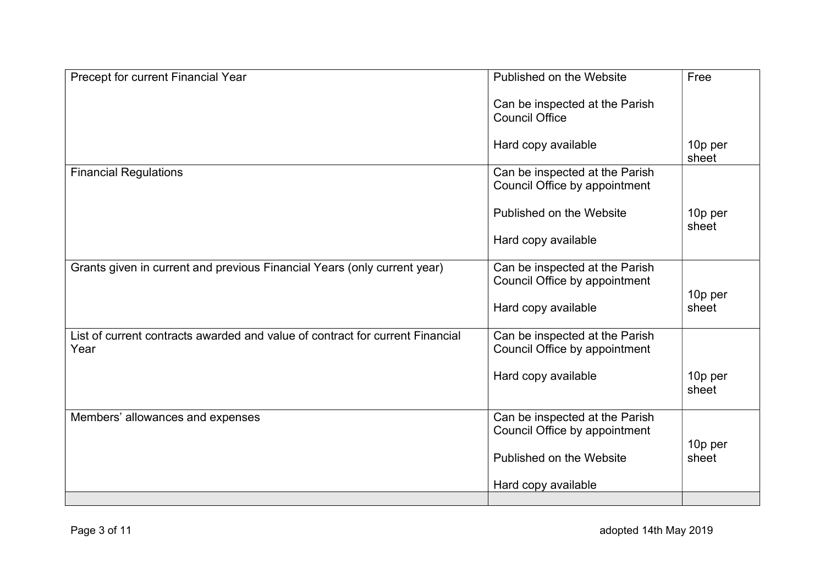| Precept for current Financial Year                                                    | Published on the Website                                        | Free             |
|---------------------------------------------------------------------------------------|-----------------------------------------------------------------|------------------|
|                                                                                       | Can be inspected at the Parish<br><b>Council Office</b>         |                  |
|                                                                                       | Hard copy available                                             | 10p per<br>sheet |
| <b>Financial Regulations</b>                                                          | Can be inspected at the Parish<br>Council Office by appointment |                  |
|                                                                                       | Published on the Website                                        | 10p per<br>sheet |
|                                                                                       | Hard copy available                                             |                  |
| Grants given in current and previous Financial Years (only current year)              | Can be inspected at the Parish<br>Council Office by appointment |                  |
|                                                                                       | Hard copy available                                             | 10p per<br>sheet |
| List of current contracts awarded and value of contract for current Financial<br>Year | Can be inspected at the Parish<br>Council Office by appointment |                  |
|                                                                                       | Hard copy available                                             | 10p per<br>sheet |
| Members' allowances and expenses                                                      | Can be inspected at the Parish<br>Council Office by appointment | 10p per          |
|                                                                                       | Published on the Website                                        | sheet            |
|                                                                                       | Hard copy available                                             |                  |
|                                                                                       |                                                                 |                  |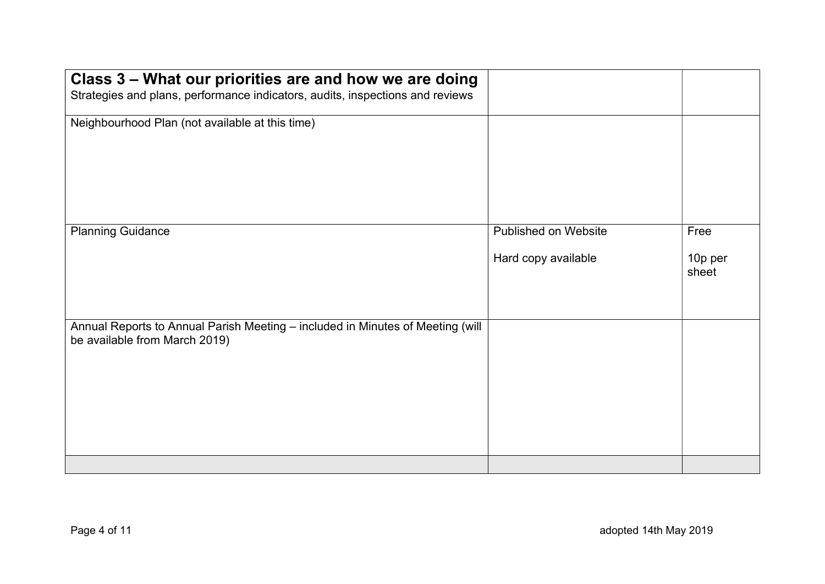| Class 3 – What our priorities are and how we are doing<br>Strategies and plans, performance indicators, audits, inspections and reviews |                                                    |                          |
|-----------------------------------------------------------------------------------------------------------------------------------------|----------------------------------------------------|--------------------------|
| Neighbourhood Plan (not available at this time)                                                                                         |                                                    |                          |
| <b>Planning Guidance</b>                                                                                                                | <b>Published on Website</b><br>Hard copy available | Free<br>10p per<br>sheet |
| Annual Reports to Annual Parish Meeting - included in Minutes of Meeting (will<br>be available from March 2019)                         |                                                    |                          |
|                                                                                                                                         |                                                    |                          |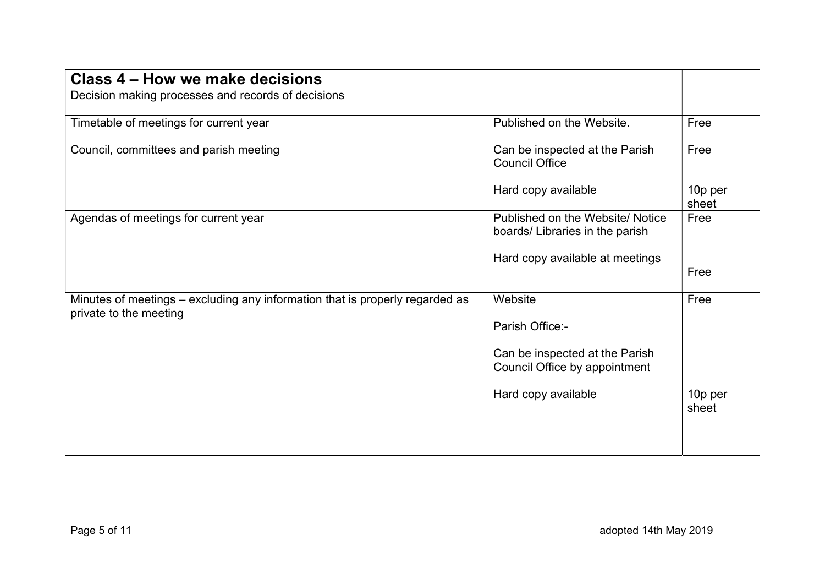| Class 4 - How we make decisions<br>Decision making processes and records of decisions                  |                                                                    |                  |
|--------------------------------------------------------------------------------------------------------|--------------------------------------------------------------------|------------------|
| Timetable of meetings for current year                                                                 | Published on the Website.                                          | Free             |
| Council, committees and parish meeting                                                                 | Can be inspected at the Parish<br><b>Council Office</b>            | Free             |
|                                                                                                        | Hard copy available                                                | 10p per<br>sheet |
| Agendas of meetings for current year                                                                   | Published on the Website/Notice<br>boards/ Libraries in the parish | Free             |
|                                                                                                        | Hard copy available at meetings                                    | Free             |
| Minutes of meetings – excluding any information that is properly regarded as<br>private to the meeting | Website                                                            | Free             |
|                                                                                                        | Parish Office:-                                                    |                  |
|                                                                                                        | Can be inspected at the Parish<br>Council Office by appointment    |                  |
|                                                                                                        | Hard copy available                                                | 10p per<br>sheet |
|                                                                                                        |                                                                    |                  |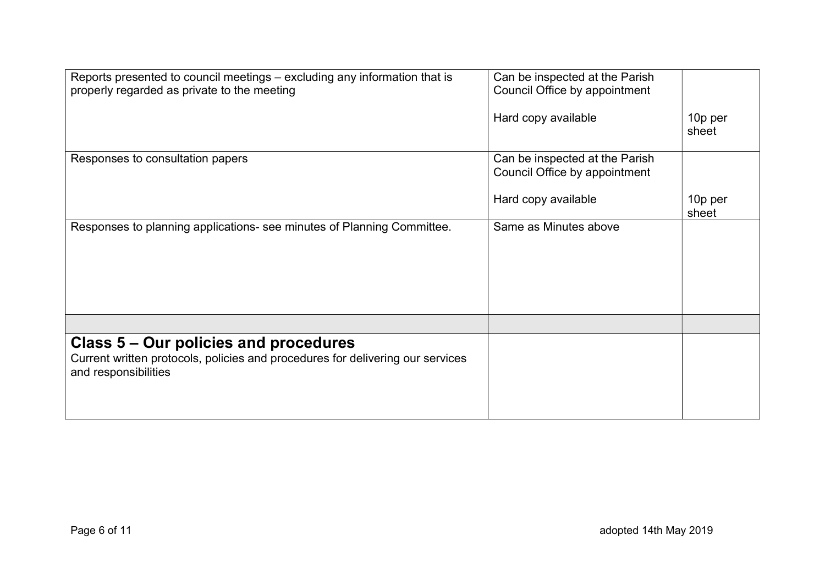| Reports presented to council meetings – excluding any information that is<br>properly regarded as private to the meeting                        | Can be inspected at the Parish<br>Council Office by appointment |                  |
|-------------------------------------------------------------------------------------------------------------------------------------------------|-----------------------------------------------------------------|------------------|
|                                                                                                                                                 | Hard copy available                                             | 10p per<br>sheet |
| Responses to consultation papers                                                                                                                | Can be inspected at the Parish<br>Council Office by appointment |                  |
|                                                                                                                                                 | Hard copy available                                             | 10p per<br>sheet |
| Responses to planning applications- see minutes of Planning Committee.                                                                          | Same as Minutes above                                           |                  |
|                                                                                                                                                 |                                                                 |                  |
| Class 5 – Our policies and procedures<br>Current written protocols, policies and procedures for delivering our services<br>and responsibilities |                                                                 |                  |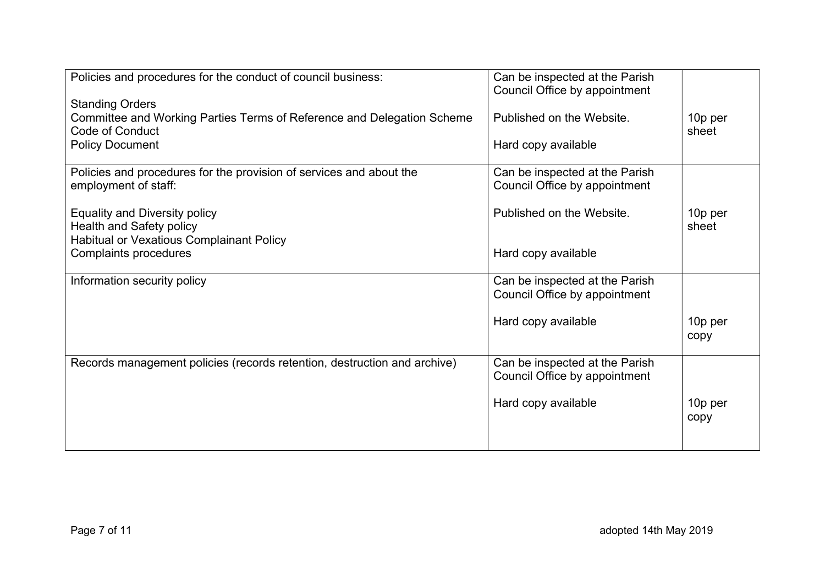| Policies and procedures for the conduct of council business:                                                        | Can be inspected at the Parish<br>Council Office by appointment |                  |
|---------------------------------------------------------------------------------------------------------------------|-----------------------------------------------------------------|------------------|
| <b>Standing Orders</b><br>Committee and Working Parties Terms of Reference and Delegation Scheme<br>Code of Conduct | Published on the Website.                                       | 10p per<br>sheet |
| <b>Policy Document</b>                                                                                              | Hard copy available                                             |                  |
| Policies and procedures for the provision of services and about the<br>employment of staff:                         | Can be inspected at the Parish<br>Council Office by appointment |                  |
| <b>Equality and Diversity policy</b><br>Health and Safety policy<br><b>Habitual or Vexatious Complainant Policy</b> | Published on the Website.                                       | 10p per<br>sheet |
| Complaints procedures                                                                                               | Hard copy available                                             |                  |
| Information security policy                                                                                         | Can be inspected at the Parish<br>Council Office by appointment |                  |
|                                                                                                                     | Hard copy available                                             | 10p per<br>copy  |
| Records management policies (records retention, destruction and archive)                                            | Can be inspected at the Parish<br>Council Office by appointment |                  |
|                                                                                                                     | Hard copy available                                             | 10p per<br>copy  |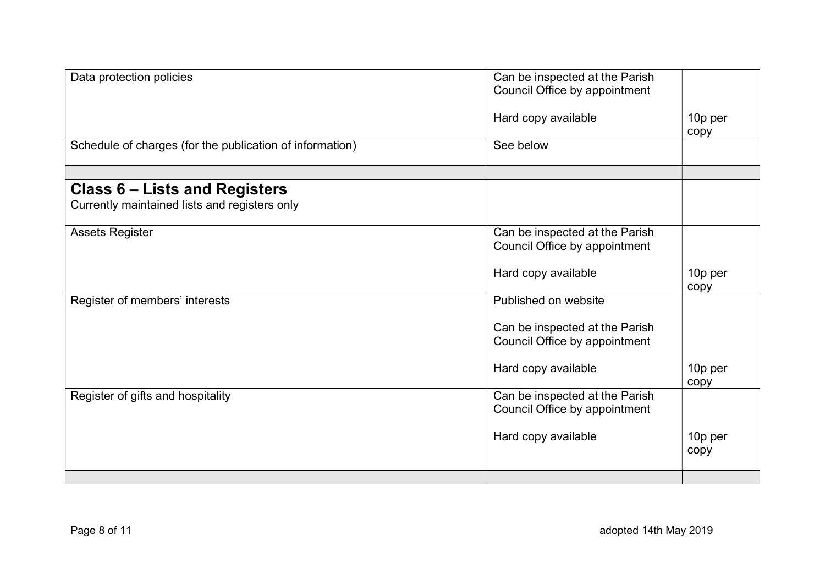| Data protection policies                                 | Can be inspected at the Parish<br>Council Office by appointment |                 |
|----------------------------------------------------------|-----------------------------------------------------------------|-----------------|
|                                                          | Hard copy available                                             | 10p per<br>copy |
| Schedule of charges (for the publication of information) | See below                                                       |                 |
| Class 6 – Lists and Registers                            |                                                                 |                 |
| Currently maintained lists and registers only            |                                                                 |                 |
| <b>Assets Register</b>                                   | Can be inspected at the Parish<br>Council Office by appointment |                 |
|                                                          | Hard copy available                                             | 10p per<br>copy |
| Register of members' interests                           | Published on website                                            |                 |
|                                                          | Can be inspected at the Parish<br>Council Office by appointment |                 |
|                                                          | Hard copy available                                             | 10p per<br>copy |
| Register of gifts and hospitality                        | Can be inspected at the Parish<br>Council Office by appointment |                 |
|                                                          | Hard copy available                                             | 10p per<br>copy |
|                                                          |                                                                 |                 |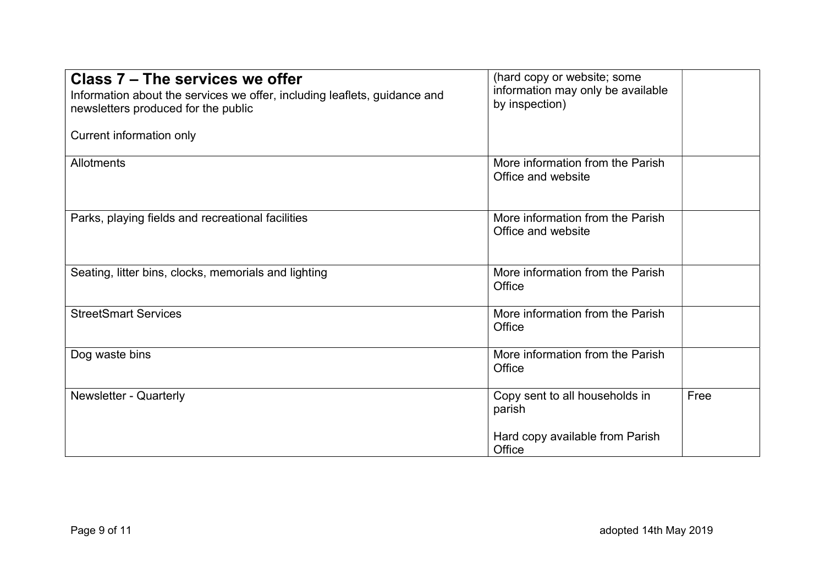| Class 7 – The services we offer<br>Information about the services we offer, including leaflets, guidance and<br>newsletters produced for the public<br>Current information only | (hard copy or website; some<br>information may only be available<br>by inspection) |      |
|---------------------------------------------------------------------------------------------------------------------------------------------------------------------------------|------------------------------------------------------------------------------------|------|
| Allotments                                                                                                                                                                      | More information from the Parish<br>Office and website                             |      |
| Parks, playing fields and recreational facilities                                                                                                                               | More information from the Parish<br>Office and website                             |      |
| Seating, litter bins, clocks, memorials and lighting                                                                                                                            | More information from the Parish<br>Office                                         |      |
| <b>StreetSmart Services</b>                                                                                                                                                     | More information from the Parish<br>Office                                         |      |
| Dog waste bins                                                                                                                                                                  | More information from the Parish<br>Office                                         |      |
| <b>Newsletter - Quarterly</b>                                                                                                                                                   | Copy sent to all households in<br>parish                                           | Free |
|                                                                                                                                                                                 | Hard copy available from Parish<br>Office                                          |      |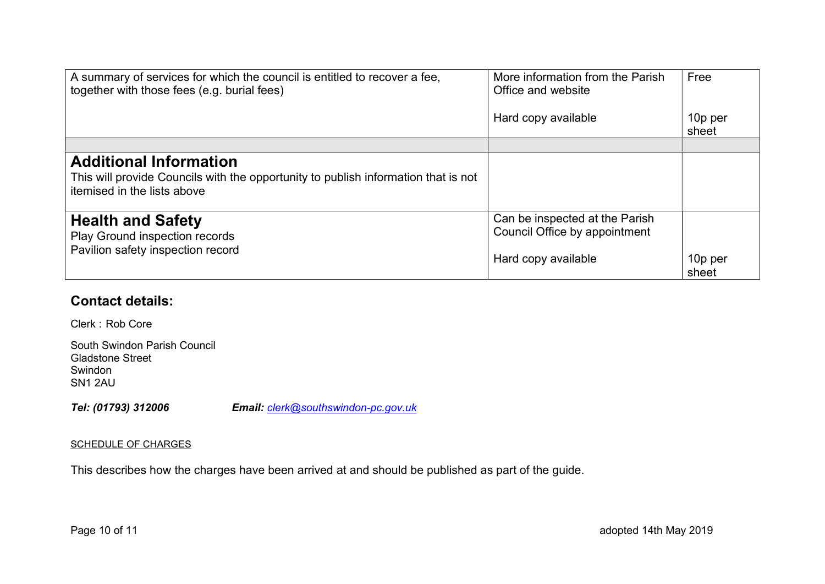| A summary of services for which the council is entitled to recover a fee,<br>together with those fees (e.g. burial fees)                           | More information from the Parish<br>Office and website                                 | Free             |
|----------------------------------------------------------------------------------------------------------------------------------------------------|----------------------------------------------------------------------------------------|------------------|
|                                                                                                                                                    | Hard copy available                                                                    | 10p per<br>sheet |
|                                                                                                                                                    |                                                                                        |                  |
| <b>Additional Information</b><br>This will provide Councils with the opportunity to publish information that is not<br>itemised in the lists above |                                                                                        |                  |
| <b>Health and Safety</b><br>Play Ground inspection records<br>Pavilion safety inspection record                                                    | Can be inspected at the Parish<br>Council Office by appointment<br>Hard copy available | 10p per<br>sheet |

## Contact details:

Clerk : Rob Core

| South Swindon Parish Council |
|------------------------------|
| Gladstone Street             |
| Swindon                      |
| SN <sub>1</sub> 2AU          |

Tel: (01793) 312006 Email: clerk@southswindon-pc.gov.uk

## SCHEDULE OF CHARGES

This describes how the charges have been arrived at and should be published as part of the guide.